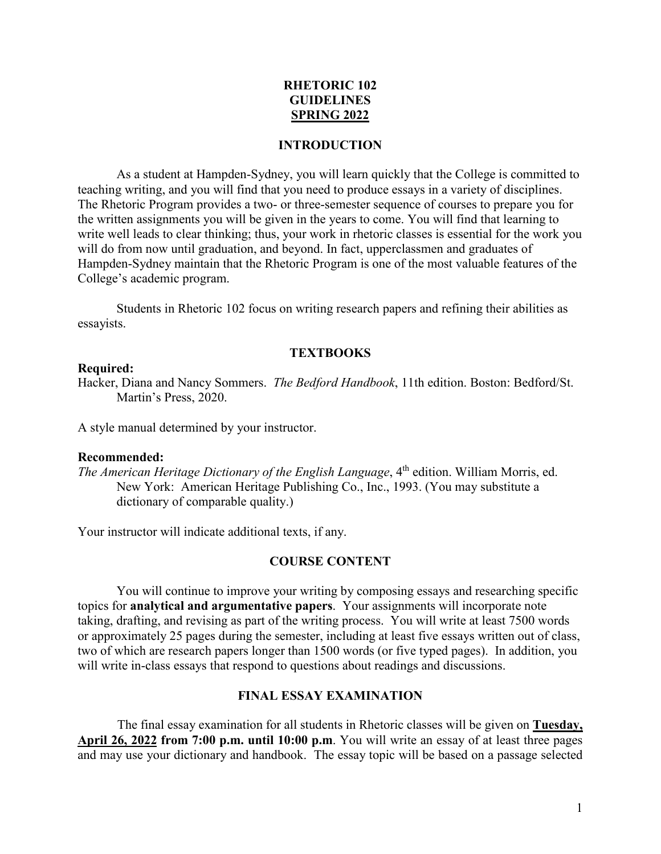# **RHETORIC 102 GUIDELINES SPRING 2022**

#### **INTRODUCTION**

As a student at Hampden-Sydney, you will learn quickly that the College is committed to teaching writing, and you will find that you need to produce essays in a variety of disciplines. The Rhetoric Program provides a two- or three-semester sequence of courses to prepare you for the written assignments you will be given in the years to come. You will find that learning to write well leads to clear thinking; thus, your work in rhetoric classes is essential for the work you will do from now until graduation, and beyond. In fact, upperclassmen and graduates of Hampden-Sydney maintain that the Rhetoric Program is one of the most valuable features of the College's academic program.

Students in Rhetoric 102 focus on writing research papers and refining their abilities as essayists.

## **TEXTBOOKS**

## **Required:**

Hacker, Diana and Nancy Sommers. *The Bedford Handbook*, 11th edition. Boston: Bedford/St. Martin's Press, 2020.

A style manual determined by your instructor.

#### **Recommended:**

*The American Heritage Dictionary of the English Language*, 4<sup>th</sup> edition. William Morris, ed. New York: American Heritage Publishing Co., Inc., 1993. (You may substitute a dictionary of comparable quality.)

Your instructor will indicate additional texts, if any.

#### **COURSE CONTENT**

 You will continue to improve your writing by composing essays and researching specific topics for **analytical and argumentative papers**. Your assignments will incorporate note taking, drafting, and revising as part of the writing process. You will write at least 7500 words or approximately 25 pages during the semester, including at least five essays written out of class, two of which are research papers longer than 1500 words (or five typed pages). In addition, you will write in-class essays that respond to questions about readings and discussions.

## **FINAL ESSAY EXAMINATION**

The final essay examination for all students in Rhetoric classes will be given on **Tuesday, April 26, 2022 from 7:00 p.m. until 10:00 p.m**. You will write an essay of at least three pages and may use your dictionary and handbook. The essay topic will be based on a passage selected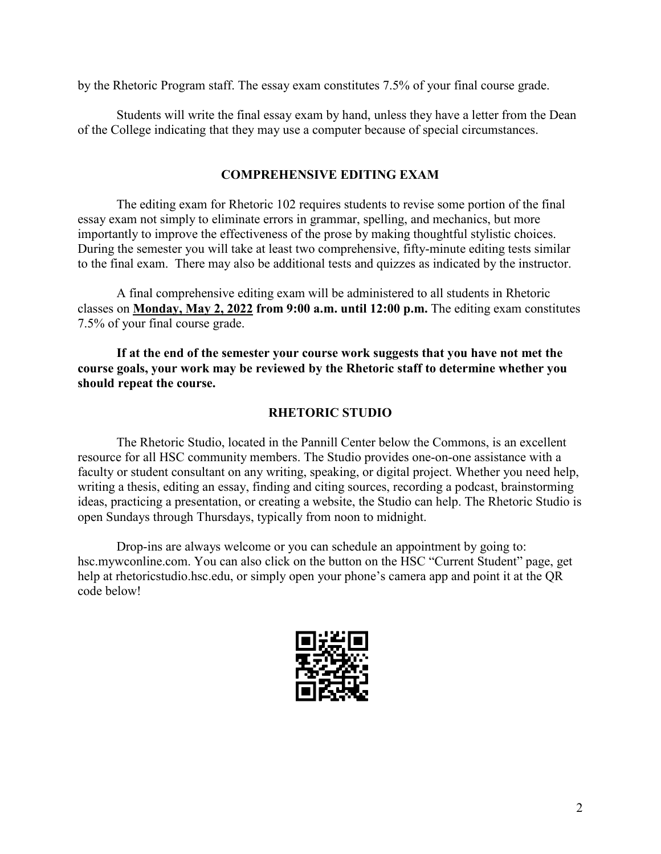by the Rhetoric Program staff. The essay exam constitutes 7.5% of your final course grade.

Students will write the final essay exam by hand, unless they have a letter from the Dean of the College indicating that they may use a computer because of special circumstances.

# **COMPREHENSIVE EDITING EXAM**

 The editing exam for Rhetoric 102 requires students to revise some portion of the final essay exam not simply to eliminate errors in grammar, spelling, and mechanics, but more importantly to improve the effectiveness of the prose by making thoughtful stylistic choices. During the semester you will take at least two comprehensive, fifty-minute editing tests similar to the final exam. There may also be additional tests and quizzes as indicated by the instructor.

 A final comprehensive editing exam will be administered to all students in Rhetoric classes on **Monday, May 2, 2022 from 9:00 a.m. until 12:00 p.m.** The editing exam constitutes 7.5% of your final course grade.

**If at the end of the semester your course work suggests that you have not met the course goals, your work may be reviewed by the Rhetoric staff to determine whether you should repeat the course.**

# **RHETORIC STUDIO**

The Rhetoric Studio, located in the Pannill Center below the Commons, is an excellent resource for all HSC community members. The Studio provides one-on-one assistance with a faculty or student consultant on any writing, speaking, or digital project. Whether you need help, writing a thesis, editing an essay, finding and citing sources, recording a podcast, brainstorming ideas, practicing a presentation, or creating a website, the Studio can help. The Rhetoric Studio is open Sundays through Thursdays, typically from noon to midnight.

Drop-ins are always welcome or you can schedule an appointment by going to: hsc.mywconline.com. You can also click on the button on the HSC "Current Student" page, get help at rhetoricstudio.hsc.edu, or simply open your phone's camera app and point it at the QR code below!

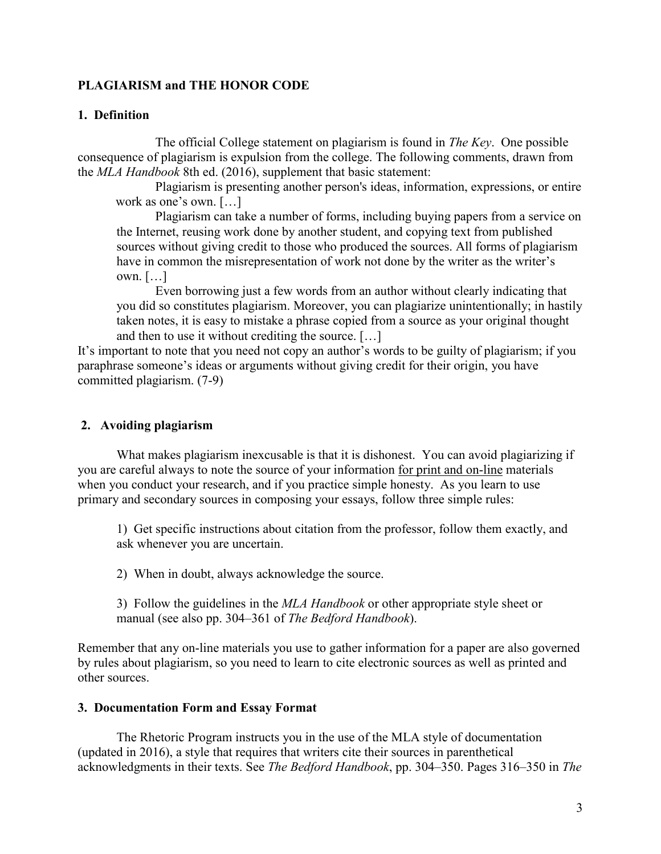# **PLAGIARISM and THE HONOR CODE**

## **1. Definition**

 The official College statement on plagiarism is found in *The Key*. One possible consequence of plagiarism is expulsion from the college. The following comments, drawn from the *MLA Handbook* 8th ed. (2016), supplement that basic statement:

Plagiarism is presenting another person's ideas, information, expressions, or entire work as one's own. […]

Plagiarism can take a number of forms, including buying papers from a service on the Internet, reusing work done by another student, and copying text from published sources without giving credit to those who produced the sources. All forms of plagiarism have in common the misrepresentation of work not done by the writer as the writer's own. […]

Even borrowing just a few words from an author without clearly indicating that you did so constitutes plagiarism. Moreover, you can plagiarize unintentionally; in hastily taken notes, it is easy to mistake a phrase copied from a source as your original thought and then to use it without crediting the source. […]

It's important to note that you need not copy an author's words to be guilty of plagiarism; if you paraphrase someone's ideas or arguments without giving credit for their origin, you have committed plagiarism. (7-9)

## **2. Avoiding plagiarism**

What makes plagiarism inexcusable is that it is dishonest. You can avoid plagiarizing if you are careful always to note the source of your information for print and on-line materials when you conduct your research, and if you practice simple honesty. As you learn to use primary and secondary sources in composing your essays, follow three simple rules:

1) Get specific instructions about citation from the professor, follow them exactly, and ask whenever you are uncertain.

2) When in doubt, always acknowledge the source.

3) Follow the guidelines in the *MLA Handbook* or other appropriate style sheet or manual (see also pp. 304–361 of *The Bedford Handbook*).

Remember that any on-line materials you use to gather information for a paper are also governed by rules about plagiarism, so you need to learn to cite electronic sources as well as printed and other sources.

#### **3. Documentation Form and Essay Format**

 The Rhetoric Program instructs you in the use of the MLA style of documentation (updated in 2016), a style that requires that writers cite their sources in parenthetical acknowledgments in their texts. See *The Bedford Handbook*, pp. 304–350. Pages 316–350 in *The*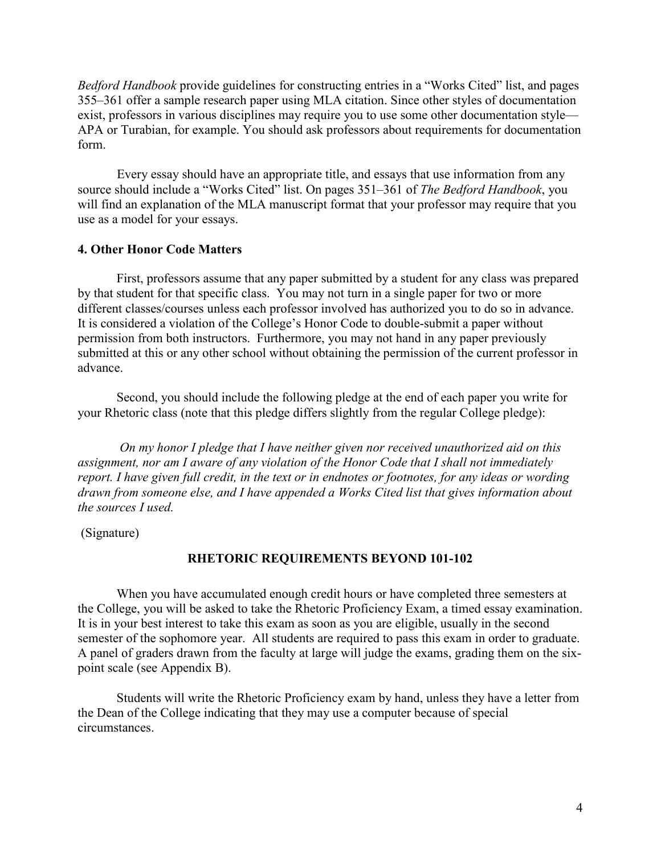*Bedford Handbook* provide guidelines for constructing entries in a "Works Cited" list, and pages 355–361 offer a sample research paper using MLA citation. Since other styles of documentation exist, professors in various disciplines may require you to use some other documentation style— APA or Turabian, for example. You should ask professors about requirements for documentation form.

Every essay should have an appropriate title, and essays that use information from any source should include a "Works Cited" list. On pages 351–361 of *The Bedford Handbook*, you will find an explanation of the MLA manuscript format that your professor may require that you use as a model for your essays.

## **4. Other Honor Code Matters**

First, professors assume that any paper submitted by a student for any class was prepared by that student for that specific class. You may not turn in a single paper for two or more different classes/courses unless each professor involved has authorized you to do so in advance. It is considered a violation of the College's Honor Code to double-submit a paper without permission from both instructors. Furthermore, you may not hand in any paper previously submitted at this or any other school without obtaining the permission of the current professor in advance.

Second, you should include the following pledge at the end of each paper you write for your Rhetoric class (note that this pledge differs slightly from the regular College pledge):

 *On my honor I pledge that I have neither given nor received unauthorized aid on this assignment, nor am I aware of any violation of the Honor Code that I shall not immediately report. I have given full credit, in the text or in endnotes or footnotes, for any ideas or wording drawn from someone else, and I have appended a Works Cited list that gives information about the sources I used.*

(Signature)

## **RHETORIC REQUIREMENTS BEYOND 101-102**

When you have accumulated enough credit hours or have completed three semesters at the College, you will be asked to take the Rhetoric Proficiency Exam, a timed essay examination. It is in your best interest to take this exam as soon as you are eligible, usually in the second semester of the sophomore year. All students are required to pass this exam in order to graduate. A panel of graders drawn from the faculty at large will judge the exams, grading them on the sixpoint scale (see Appendix B).

Students will write the Rhetoric Proficiency exam by hand, unless they have a letter from the Dean of the College indicating that they may use a computer because of special circumstances.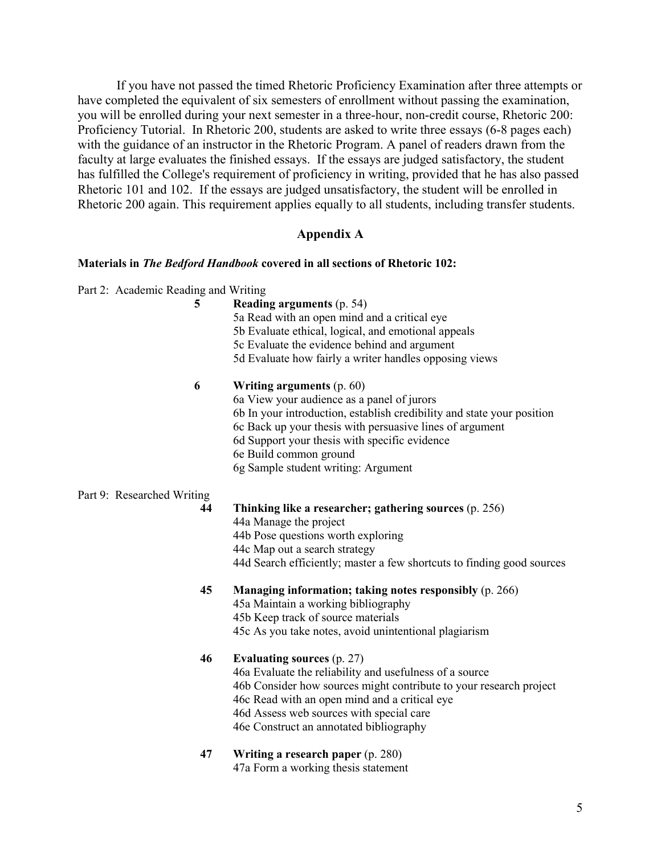If you have not passed the timed Rhetoric Proficiency Examination after three attempts or have completed the equivalent of six semesters of enrollment without passing the examination, you will be enrolled during your next semester in a three-hour, non-credit course, Rhetoric 200: Proficiency Tutorial. In Rhetoric 200, students are asked to write three essays (6-8 pages each) with the guidance of an instructor in the Rhetoric Program. A panel of readers drawn from the faculty at large evaluates the finished essays. If the essays are judged satisfactory, the student has fulfilled the College's requirement of proficiency in writing, provided that he has also passed Rhetoric 101 and 102. If the essays are judged unsatisfactory, the student will be enrolled in Rhetoric 200 again. This requirement applies equally to all students, including transfer students.

#### **Appendix A**

#### **Materials in** *The Bedford Handbook* **covered in all sections of Rhetoric 102:**

Part 2: Academic Reading and Writing

| 5                          | Reading arguments (p. 54)<br>5a Read with an open mind and a critical eye |
|----------------------------|---------------------------------------------------------------------------|
|                            | 5b Evaluate ethical, logical, and emotional appeals                       |
|                            | 5c Evaluate the evidence behind and argument                              |
|                            | 5d Evaluate how fairly a writer handles opposing views                    |
| 6                          | Writing arguments (p. 60)                                                 |
|                            | 6a View your audience as a panel of jurors                                |
|                            | 6b In your introduction, establish credibility and state your position    |
|                            | 6c Back up your thesis with persuasive lines of argument                  |
|                            | 6d Support your thesis with specific evidence                             |
|                            | 6e Build common ground                                                    |
|                            | 6g Sample student writing: Argument                                       |
| Part 9: Researched Writing |                                                                           |
| 44                         | Thinking like a researcher; gathering sources (p. 256)                    |
|                            | 44a Manage the project                                                    |
|                            | 44b Pose questions worth exploring                                        |
|                            | 44c Map out a search strategy                                             |
|                            | 44d Search efficiently; master a few shortcuts to finding good sources    |
| 45                         | Managing information; taking notes responsibly (p. 266)                   |
|                            | 45a Maintain a working bibliography                                       |
|                            | 45b Keep track of source materials                                        |
|                            | 45c As you take notes, avoid unintentional plagiarism                     |
| 46                         | Evaluating sources (p. 27)                                                |
|                            | 46a Evaluate the reliability and usefulness of a source                   |
|                            | 46b Consider how sources might contribute to your research project        |
|                            | 46c Read with an open mind and a critical eye                             |
|                            | 46d Assess web sources with special care                                  |
|                            | 46e Construct an annotated bibliography                                   |
| 47                         | Writing a research paper (p. 280)                                         |
|                            | 47a Form a working thesis statement                                       |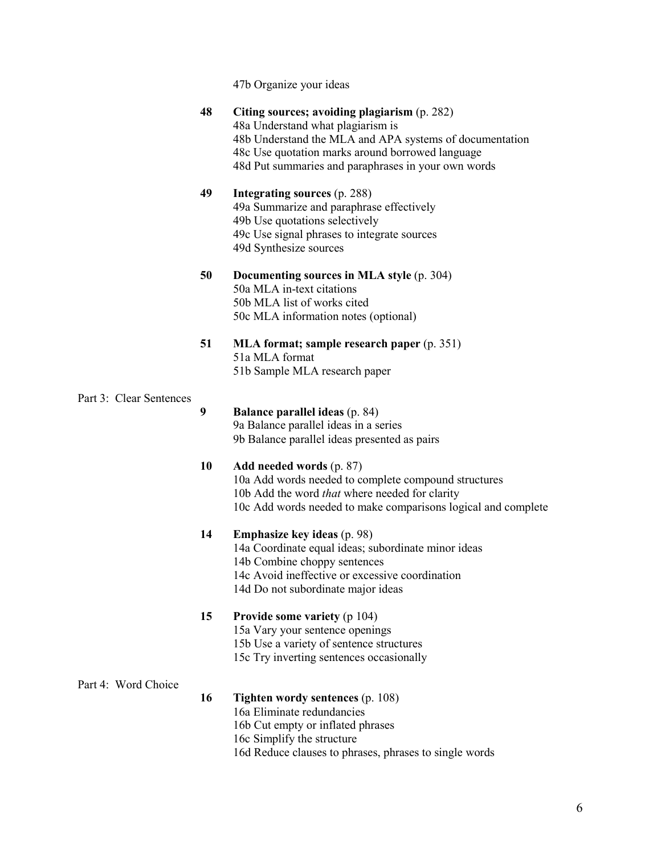|                         |    | 47b Organize your ideas                                                                                                                                                                                                                                 |
|-------------------------|----|---------------------------------------------------------------------------------------------------------------------------------------------------------------------------------------------------------------------------------------------------------|
|                         | 48 | Citing sources; avoiding plagiarism (p. 282)<br>48a Understand what plagiarism is<br>48b Understand the MLA and APA systems of documentation<br>48c Use quotation marks around borrowed language<br>48d Put summaries and paraphrases in your own words |
|                         | 49 | Integrating sources (p. 288)<br>49a Summarize and paraphrase effectively<br>49b Use quotations selectively<br>49c Use signal phrases to integrate sources<br>49d Synthesize sources                                                                     |
|                         | 50 | Documenting sources in MLA style (p. 304)<br>50a MLA in-text citations<br>50b MLA list of works cited<br>50c MLA information notes (optional)                                                                                                           |
|                         | 51 | MLA format; sample research paper (p. 351)<br>51a MLA format<br>51b Sample MLA research paper                                                                                                                                                           |
| Part 3: Clear Sentences |    |                                                                                                                                                                                                                                                         |
|                         | 9  | <b>Balance parallel ideas (p. 84)</b><br>9a Balance parallel ideas in a series<br>9b Balance parallel ideas presented as pairs                                                                                                                          |
|                         | 10 | Add needed words (p. 87)<br>10a Add words needed to complete compound structures<br>10b Add the word that where needed for clarity<br>10c Add words needed to make comparisons logical and complete                                                     |
|                         | 14 | <b>Emphasize key ideas</b> (p. 98)<br>14a Coordinate equal ideas; subordinate minor ideas<br>14b Combine choppy sentences<br>14c Avoid ineffective or excessive coordination<br>14d Do not subordinate major ideas                                      |
|                         | 15 | Provide some variety (p 104)<br>15a Vary your sentence openings<br>15b Use a variety of sentence structures<br>15c Try inverting sentences occasionally                                                                                                 |
| Part 4: Word Choice     |    |                                                                                                                                                                                                                                                         |
|                         | 16 | <b>Tighten wordy sentences (p. 108)</b><br>16a Eliminate redundancies<br>16b Cut empty or inflated phrases<br>16c Simplify the structure<br>16d Reduce clauses to phrases, phrases to single words                                                      |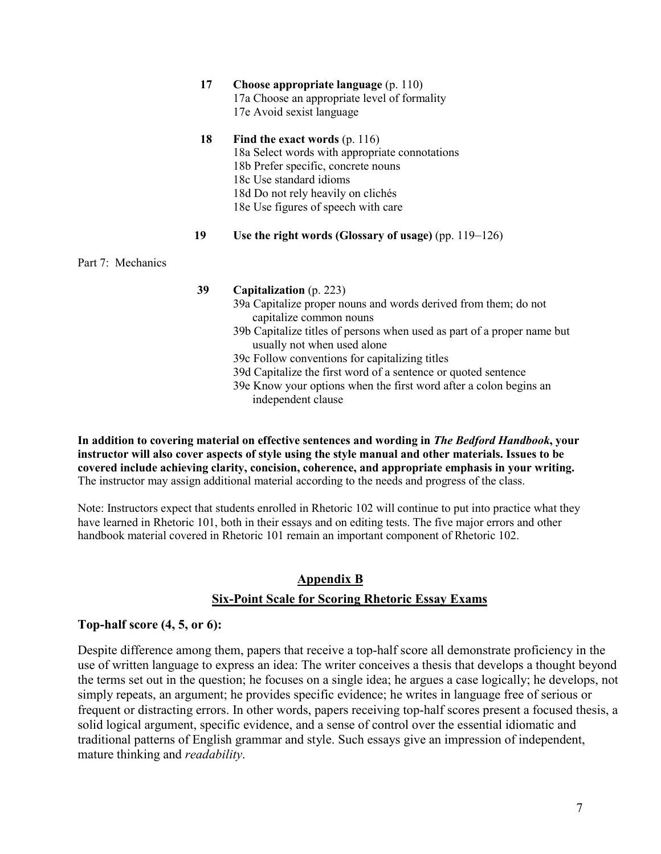|                   | 17 | Choose appropriate language (p. 110)                                                                   |
|-------------------|----|--------------------------------------------------------------------------------------------------------|
|                   |    | 17a Choose an appropriate level of formality                                                           |
|                   |    | 17e Avoid sexist language                                                                              |
|                   | 18 | Find the exact words (p. 116)                                                                          |
|                   |    | 18a Select words with appropriate connotations                                                         |
|                   |    | 18b Prefer specific, concrete nouns                                                                    |
|                   |    | 18c Use standard idioms                                                                                |
|                   |    | 18d Do not rely heavily on clichés                                                                     |
|                   |    | 18e Use figures of speech with care                                                                    |
|                   | 19 | Use the right words (Glossary of usage) (pp. $119-126$ )                                               |
| Part 7: Mechanics |    |                                                                                                        |
|                   | 39 | Capitalization (p. 223)                                                                                |
|                   |    | 39a Capitalize proper nouns and words derived from them; do not<br>capitalize common nouns             |
|                   |    | 39b Capitalize titles of persons when used as part of a proper name but<br>usually not when used alone |
|                   |    | 39c Follow conventions for capitalizing titles                                                         |
|                   |    | 39d Capitalize the first word of a sentence or quoted sentence                                         |

39e Know your options when the first word after a colon begins an independent clause

**In addition to covering material on effective sentences and wording in** *The Bedford Handbook***, your instructor will also cover aspects of style using the style manual and other materials. Issues to be covered include achieving clarity, concision, coherence, and appropriate emphasis in your writing.** The instructor may assign additional material according to the needs and progress of the class.

Note: Instructors expect that students enrolled in Rhetoric 102 will continue to put into practice what they have learned in Rhetoric 101, both in their essays and on editing tests. The five major errors and other handbook material covered in Rhetoric 101 remain an important component of Rhetoric 102.

# **Appendix B Six-Point Scale for Scoring Rhetoric Essay Exams**

# **Top-half score (4, 5, or 6):**

Despite difference among them, papers that receive a top-half score all demonstrate proficiency in the use of written language to express an idea: The writer conceives a thesis that develops a thought beyond the terms set out in the question; he focuses on a single idea; he argues a case logically; he develops, not simply repeats, an argument; he provides specific evidence; he writes in language free of serious or frequent or distracting errors. In other words, papers receiving top-half scores present a focused thesis, a solid logical argument, specific evidence, and a sense of control over the essential idiomatic and traditional patterns of English grammar and style. Such essays give an impression of independent, mature thinking and *readability*.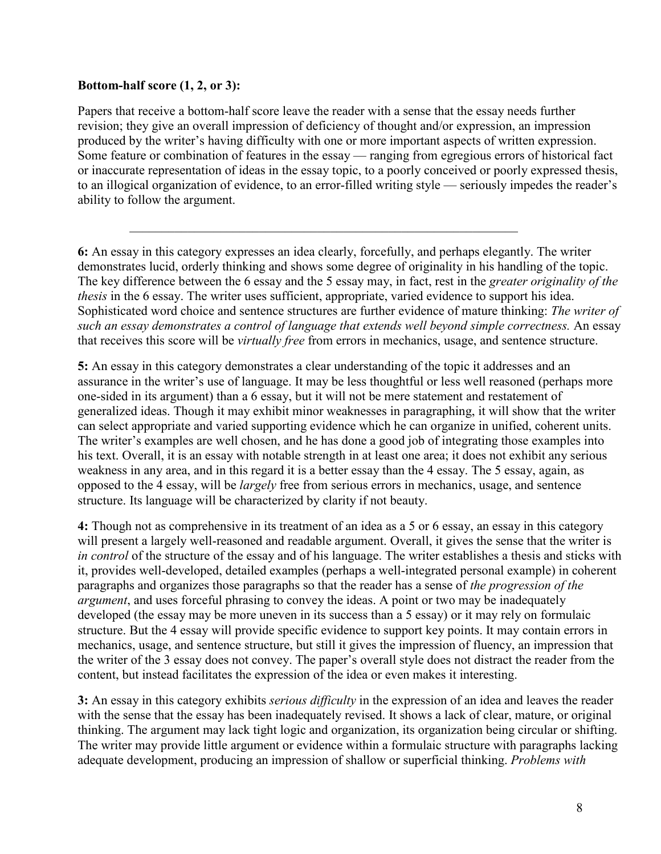# **Bottom-half score (1, 2, or 3):**

Papers that receive a bottom-half score leave the reader with a sense that the essay needs further revision; they give an overall impression of deficiency of thought and/or expression, an impression produced by the writer's having difficulty with one or more important aspects of written expression. Some feature or combination of features in the essay — ranging from egregious errors of historical fact or inaccurate representation of ideas in the essay topic, to a poorly conceived or poorly expressed thesis, to an illogical organization of evidence, to an error-filled writing style — seriously impedes the reader's ability to follow the argument.

 $\mathcal{L}_\text{max}$  and  $\mathcal{L}_\text{max}$  and  $\mathcal{L}_\text{max}$  and  $\mathcal{L}_\text{max}$  and  $\mathcal{L}_\text{max}$  and  $\mathcal{L}_\text{max}$ 

**6:** An essay in this category expresses an idea clearly, forcefully, and perhaps elegantly. The writer demonstrates lucid, orderly thinking and shows some degree of originality in his handling of the topic. The key difference between the 6 essay and the 5 essay may, in fact, rest in the *greater originality of the thesis* in the 6 essay. The writer uses sufficient, appropriate, varied evidence to support his idea. Sophisticated word choice and sentence structures are further evidence of mature thinking: *The writer of such an essay demonstrates a control of language that extends well beyond simple correctness.* An essay that receives this score will be *virtually free* from errors in mechanics, usage, and sentence structure.

**5:** An essay in this category demonstrates a clear understanding of the topic it addresses and an assurance in the writer's use of language. It may be less thoughtful or less well reasoned (perhaps more one-sided in its argument) than a 6 essay, but it will not be mere statement and restatement of generalized ideas. Though it may exhibit minor weaknesses in paragraphing, it will show that the writer can select appropriate and varied supporting evidence which he can organize in unified, coherent units. The writer's examples are well chosen, and he has done a good job of integrating those examples into his text. Overall, it is an essay with notable strength in at least one area; it does not exhibit any serious weakness in any area, and in this regard it is a better essay than the 4 essay. The 5 essay, again, as opposed to the 4 essay, will be *largely* free from serious errors in mechanics, usage, and sentence structure. Its language will be characterized by clarity if not beauty.

**4:** Though not as comprehensive in its treatment of an idea as a 5 or 6 essay, an essay in this category will present a largely well-reasoned and readable argument. Overall, it gives the sense that the writer is *in control* of the structure of the essay and of his language. The writer establishes a thesis and sticks with it, provides well-developed, detailed examples (perhaps a well-integrated personal example) in coherent paragraphs and organizes those paragraphs so that the reader has a sense of *the progression of the argument*, and uses forceful phrasing to convey the ideas. A point or two may be inadequately developed (the essay may be more uneven in its success than a 5 essay) or it may rely on formulaic structure. But the 4 essay will provide specific evidence to support key points. It may contain errors in mechanics, usage, and sentence structure, but still it gives the impression of fluency, an impression that the writer of the 3 essay does not convey. The paper's overall style does not distract the reader from the content, but instead facilitates the expression of the idea or even makes it interesting.

**3:** An essay in this category exhibits *serious difficulty* in the expression of an idea and leaves the reader with the sense that the essay has been inadequately revised. It shows a lack of clear, mature, or original thinking. The argument may lack tight logic and organization, its organization being circular or shifting. The writer may provide little argument or evidence within a formulaic structure with paragraphs lacking adequate development, producing an impression of shallow or superficial thinking. *Problems with*